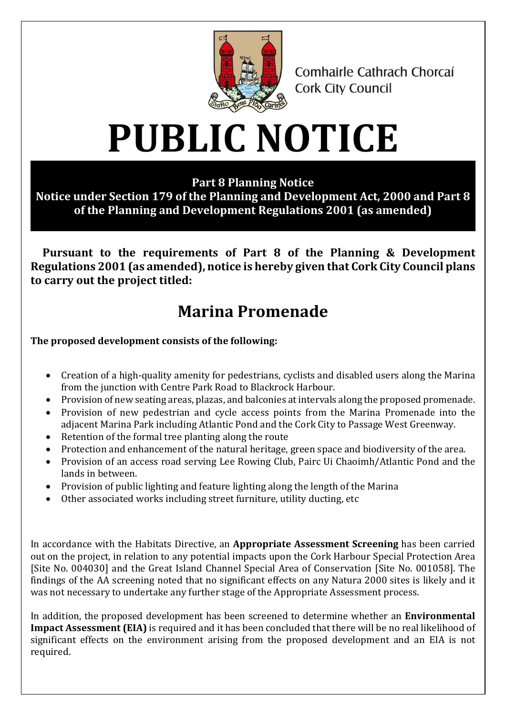

Comhairle Cathrach Chorcaí **Cork City Council** 

## **PUBLIC NOTICE**

**Part 8 Planning Notice**

**Notice under Section 179 of the Planning and Development Act, 2000 and Part 8 of the Planning and Development Regulations 2001 (as amended)**

**Pursuant to the requirements of Part 8 of the Planning & Development Regulations 2001 (as amended), notice is hereby given that Cork City Council plans to carry out the project titled:**

## **Marina Promenade**

**The proposed development consists of the following:**

- Creation of a high-quality amenity for pedestrians, cyclists and disabled users along the Marina from the junction with Centre Park Road to Blackrock Harbour.
- Provision of new seating areas, plazas, and balconies at intervals along the proposed promenade.
- Provision of new pedestrian and cycle access points from the Marina Promenade into the adjacent Marina Park including Atlantic Pond and the Cork City to Passage West Greenway.
- Retention of the formal tree planting along the route
- Protection and enhancement of the natural heritage, green space and biodiversity of the area.
- Provision of an access road serving Lee Rowing Club, Pairc Ui Chaoimh/Atlantic Pond and the lands in between.
- Provision of public lighting and feature lighting along the length of the Marina
- Other associated works including street furniture, utility ducting, etc

In accordance with the Habitats Directive, an **Appropriate Assessment Screening** has been carried out on the project, in relation to any potential impacts upon the Cork Harbour Special Protection Area [Site No. 004030] and the Great Island Channel Special Area of Conservation [Site No. 001058]. The findings of the AA screening noted that no significant effects on any Natura 2000 sites is likely and it was not necessary to undertake any further stage of the Appropriate Assessment process.

In addition, the proposed development has been screened to determine whether an **Environmental Impact Assessment (EIA)** is required and it has been concluded that there will be no real likelihood of significant effects on the environment arising from the proposed development and an EIA is not required.